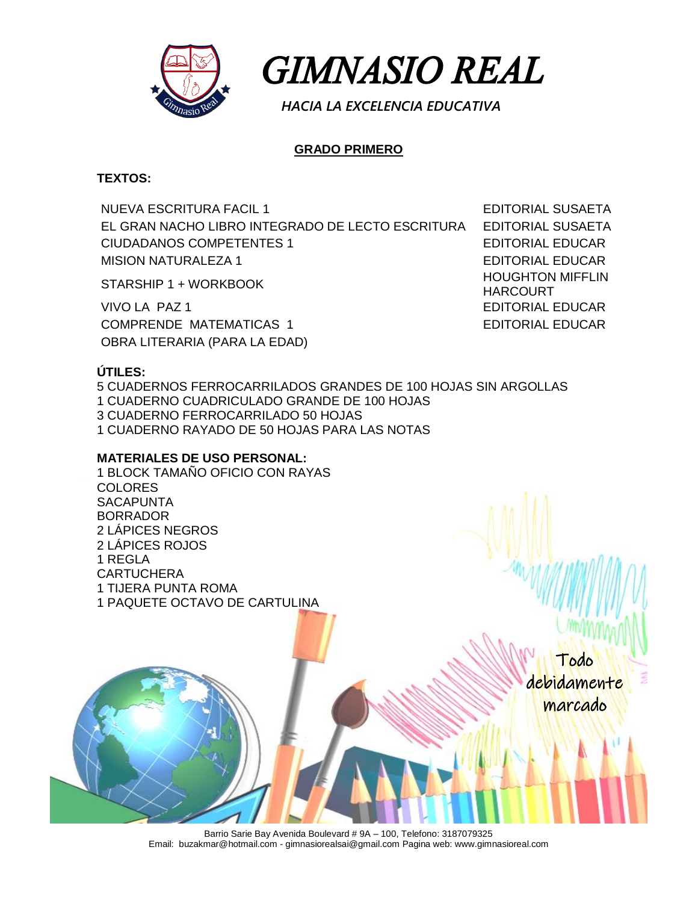



 *HACIA LA EXCELENCIA EDUCATIVA*

# **GRADO PRIMERO**

### **TEXTOS:**

NUEVA ESCRITURA FACIL 1 EDITORIAL SUSAETA EL GRAN NACHO LIBRO INTEGRADO DE LECTO ESCRITURA EDITORIAL SUSAETA CIUDADANOS COMPETENTES 1 EDITORIAL EDUCAR MISION NATURALEZA 1 EDITORIAL EDUCAR

VIVO LA PAZ 1 EDITORIAL EDUCAR COMPRENDE MATEMATICAS 1 EDITORIAL EDUCAR OBRA LITERARIA (PARA LA EDAD)

STARSHIP 1 + WORKBOOK HOUGHTON MIFFLIN HARCOURT

# **ÚTILES:**

5 CUADERNOS FERROCARRILADOS GRANDES DE 100 HOJAS SIN ARGOLLAS 1 CUADERNO CUADRICULADO GRANDE DE 100 HOJAS 3 CUADERNO FERROCARRILADO 50 HOJAS 1 CUADERNO RAYADO DE 50 HOJAS PARA LAS NOTAS

# **MATERIALES DE USO PERSONAL:**

1 BLOCK TAMAÑO OFICIO CON RAYAS **COLORES SACAPUNTA** BORRADOR 2 LÁPICES NEGROS 2 LÁPICES ROJOS 1 REGLA **CARTUCHERA** 1 TIJERA PUNTA ROMA 1 PAQUETE OCTAVO DE CARTULINA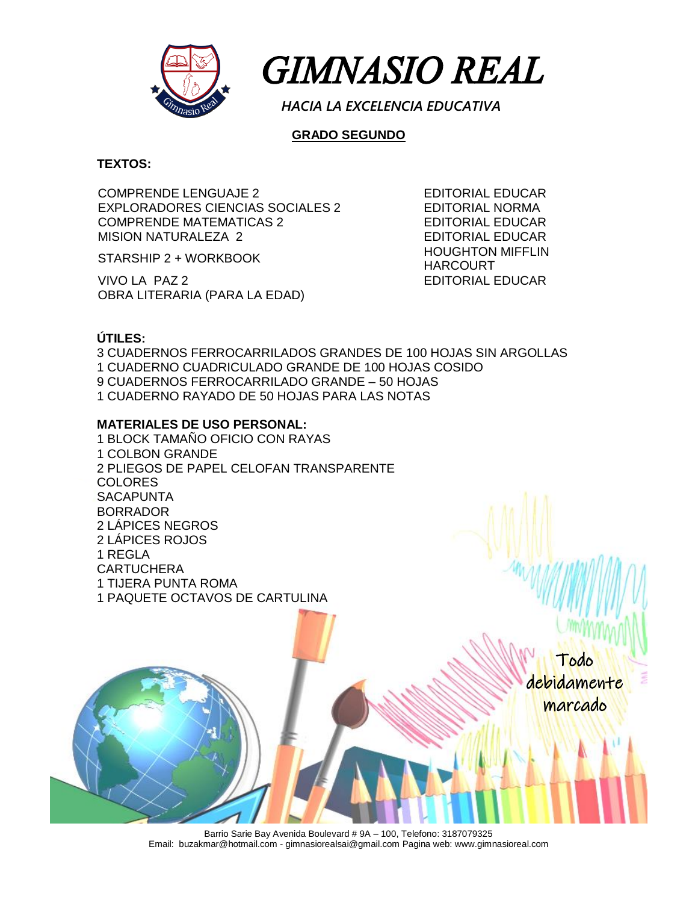

 *GIMNASIO REAL* 

 *HACIA LA EXCELENCIA EDUCATIVA*

### **GRADO SEGUNDO**

#### **TEXTOS:**

COMPRENDE LENGUAJE 2 EDITORIAL EDUCAR EXPLORADORES CIENCIAS SOCIALES 2 EDITORIAL NORMA COMPRENDE MATEMATICAS 2 EDITORIAL EDUCAR MISION NATURALEZA 2 EDITORIAL EDUCAR

VIVO LA PAZ 2 EDITORIAL EDUCAR OBRA LITERARIA (PARA LA EDAD)

STARSHIP 2 + WORKBOOK HOUGHTON MIFFLIN HARCOURT

### **ÚTILES:**

3 CUADERNOS FERROCARRILADOS GRANDES DE 100 HOJAS SIN ARGOLLAS 1 CUADERNO CUADRICULADO GRANDE DE 100 HOJAS COSIDO 9 CUADERNOS FERROCARRILADO GRANDE – 50 HOJAS 1 CUADERNO RAYADO DE 50 HOJAS PARA LAS NOTAS

#### **MATERIALES DE USO PERSONAL:**

1 BLOCK TAMAÑO OFICIO CON RAYAS 1 COLBON GRANDE 2 PLIEGOS DE PAPEL CELOFAN TRANSPARENTE COLORES **SACAPUNTA** BORRADOR 2 LÁPICES NEGROS 2 LÁPICES ROJOS 1 REGLA CARTUCHERA 1 TIJERA PUNTA ROMA 1 PAQUETE OCTAVOS DE CARTULINA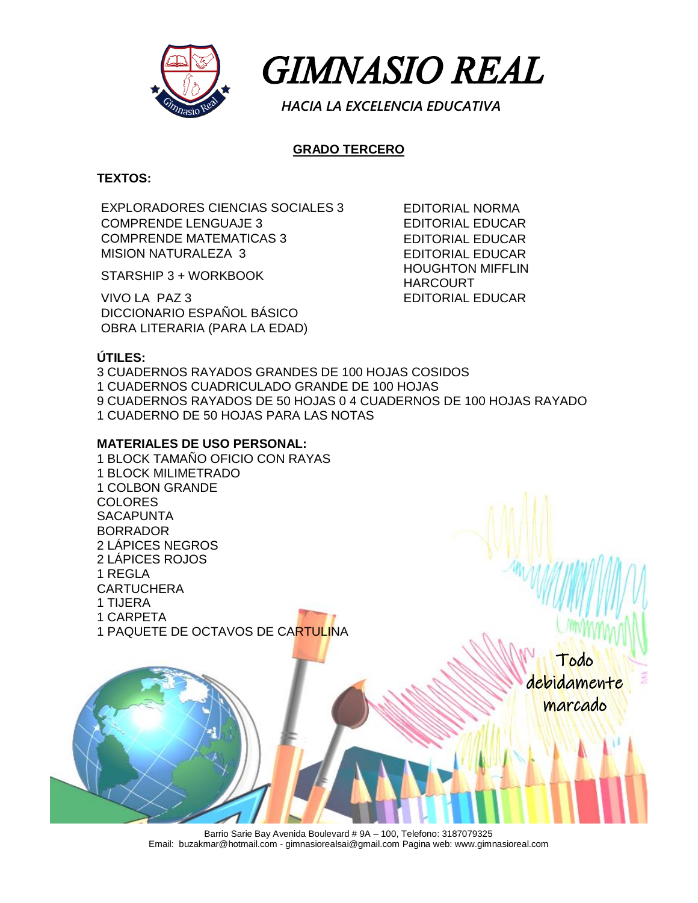

 *GIMNASIO REAL* 

 *HACIA LA EXCELENCIA EDUCATIVA*

# **GRADO TERCERO**

**TEXTOS:**

EXPLORADORES CIENCIAS SOCIALES 3 EDITORIAL NORMA COMPRENDE LENGUAJE 3 EDITORIAL EDUCAR COMPRENDE MATEMATICAS 3 EDITORIAL EDUCAR MISION NATURALEZA 3 EDITORIAL EDUCAR

VIVO LA PAZ 3 EDITORIAL EDUCAR DICCIONARIO ESPAÑOL BÁSICO OBRA LITERARIA (PARA LA EDAD)

STARSHIP 3 + WORKBOOK HOUGHTON MIFFLIN HARCOURT

# **ÚTILES:**

3 CUADERNOS RAYADOS GRANDES DE 100 HOJAS COSIDOS 1 CUADERNOS CUADRICULADO GRANDE DE 100 HOJAS 9 CUADERNOS RAYADOS DE 50 HOJAS 0 4 CUADERNOS DE 100 HOJAS RAYADO 1 CUADERNO DE 50 HOJAS PARA LAS NOTAS

#### **MATERIALES DE USO PERSONAL:**

1 BLOCK TAMAÑO OFICIO CON RAYAS 1 BLOCK MILIMETRADO 1 COLBON GRANDE COLORES **SACAPUNTA** BORRADOR 2 LÁPICES NEGROS 2 LÁPICES ROJOS 1 REGLA **CARTUCHERA** 1 TIJERA 1 CARPETA 1 PAQUETE DE OCTAVOS DE CARTULINA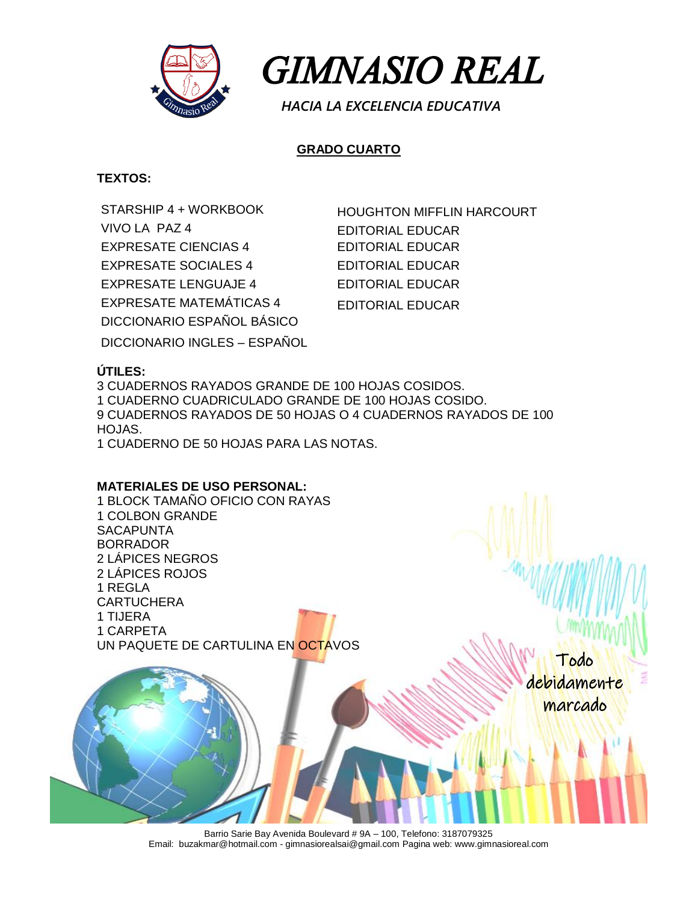

 *GIMNASIO REAL* 

 *HACIA LA EXCELENCIA EDUCATIVA*

# **GRADO CUARTO**

### **TEXTOS:**

STARSHIP 4 + WORKBOOK HOUGHTON MIFFLIN HARCOURT VIVO LA PAZ 4 EDITORIAL EDUCAR EXPRESATE CIENCIAS 4 EDITORIAL EDUCAR EXPRESATE SOCIALES 4 EDITORIAL EDUCAR EXPRESATE LENGUAJE 4 EDITORIAL EDUCAR EXPRESATE MATEMÁTICAS 4 EDITORIAL EDUCAR DICCIONARIO ESPAÑOL BÁSICO

DICCIONARIO INGLES – ESPAÑOL

# **ÚTILES:**

3 CUADERNOS RAYADOS GRANDE DE 100 HOJAS COSIDOS. 1 CUADERNO CUADRICULADO GRANDE DE 100 HOJAS COSIDO. 9 CUADERNOS RAYADOS DE 50 HOJAS O 4 CUADERNOS RAYADOS DE 100 HOJAS.

1 CUADERNO DE 50 HOJAS PARA LAS NOTAS.

#### **MATERIALES DE USO PERSONAL:**

1 BLOCK TAMAÑO OFICIO CON RAYAS 1 COLBON GRANDE **SACAPUNTA** BORRADOR 2 LÁPICES NEGROS 2 LÁPICES ROJOS 1 REGLA **CARTUCHERA** 1 TIJERA 1 CARPETA UN PAQUETE DE CARTULINA EN OCTAVOS